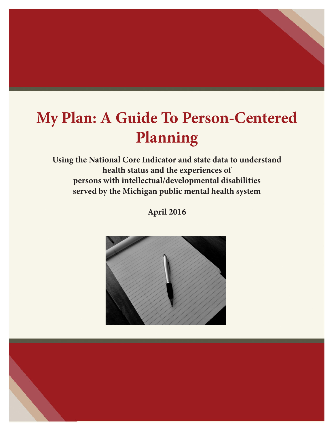# **My Plan: A Guide To Person-Centered Planning**

**Using the National Core Indicator and state data to understand health status and the experiences of persons with intellectual/developmental disabilities served by the Michigan public mental health system**

**April 2016**



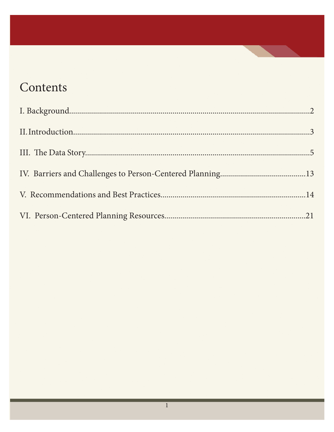# Contents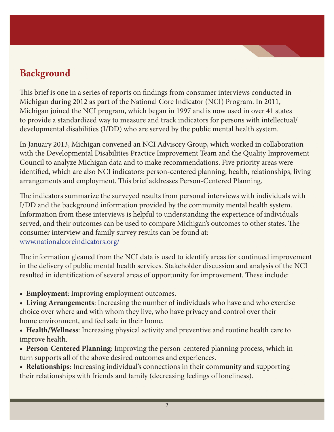# **Background**

This brief is one in a series of reports on findings from consumer interviews conducted in Michigan during 2012 as part of the National Core Indicator (NCI) Program. In 2011, Michigan joined the NCI program, which began in 1997 and is now used in over 41 states to provide a standardized way to measure and track indicators for persons with intellectual/ developmental disabilities (I/DD) who are served by the public mental health system.

In January 2013, Michigan convened an NCI Advisory Group, which worked in collaboration with the Developmental Disabilities Practice Improvement Team and the Quality Improvement Council to analyze Michigan data and to make recommendations. Five priority areas were identified, which are also NCI indicators: person-centered planning, health, relationships, living arrangements and employment. This brief addresses Person-Centered Planning.

The indicators summarize the surveyed results from personal interviews with individuals with I/DD and the background information provided by the community mental health system. Information from these interviews is helpful to understanding the experience of individuals served, and their outcomes can be used to compare Michigan's outcomes to other states. The consumer interview and family survey results can be found at: www.nationalcoreindicators.org/

The information gleaned from the NCI data is used to identify areas for continued improvement in the delivery of public mental health services. Stakeholder discussion and analysis of the NCI resulted in identification of several areas of opportunity for improvement. These include:

• **Employment**: Improving employment outcomes.

• Living Arrangements: Increasing the number of individuals who have and who exercise choice over where and with whom they live, who have privacy and control over their home environment, and feel safe in their home.

• **Health/Wellness**: Increasing physical activity and preventive and routine health care to improve health.

• **Person-Centered Planning**: Improving the person-centered planning process, which in turn supports all of the above desired outcomes and experiences.

**• Relationships**: Increasing individual's connections in their community and supporting their relationships with friends and family (decreasing feelings of loneliness).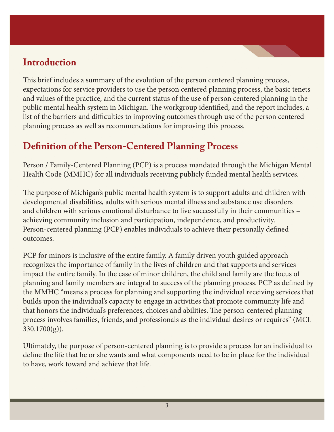#### **Introduction**

This brief includes a summary of the evolution of the person centered planning process, expectations for service providers to use the person centered planning process, the basic tenets and values of the practice, and the current status of the use of person centered planning in the public mental health system in Michigan. The workgroup identified, and the report includes, a list of the barriers and difficulties to improving outcomes through use of the person centered planning process as well as recommendations for improving this process.

# **Definition of the Person-Centered Planning Process**

Person / Family-Centered Planning (PCP) is a process mandated through the Michigan Mental Health Code (MMHC) for all individuals receiving publicly funded mental health services.

The purpose of Michigan's public mental health system is to support adults and children with developmental disabilities, adults with serious mental illness and substance use disorders and children with serious emotional disturbance to live successfully in their communities – achieving community inclusion and participation, independence, and productivity. Person-centered planning (PCP) enables individuals to achieve their personally defined outcomes.

PCP for minors is inclusive of the entire family. A family driven youth guided approach recognizes the importance of family in the lives of children and that supports and services impact the entire family. In the case of minor children, the child and family are the focus of planning and family members are integral to success of the planning process. PCP as defined by the MMHC "means a process for planning and supporting the individual receiving services that builds upon the individual's capacity to engage in activities that promote community life and that honors the individual's preferences, choices and abilities. The person-centered planning process involves families, friends, and professionals as the individual desires or requires" (MCL 330.1700(g)).

Ultimately, the purpose of person-centered planning is to provide a process for an individual to define the life that he or she wants and what components need to be in place for the individual to have, work toward and achieve that life.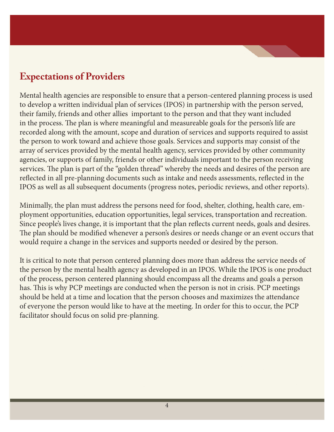# **Expectations of Providers**

Mental health agencies are responsible to ensure that a person-centered planning process is used to develop a written individual plan of services (IPOS) in partnership with the person served, their family, friends and other allies important to the person and that they want included in the process. The plan is where meaningful and measureable goals for the person's life are recorded along with the amount, scope and duration of services and supports required to assist the person to work toward and achieve those goals. Services and supports may consist of the array of services provided by the mental health agency, services provided by other community agencies, or supports of family, friends or other individuals important to the person receiving services. The plan is part of the "golden thread" whereby the needs and desires of the person are reflected in all pre-planning documents such as intake and needs assessments, reflected in the IPOS as well as all subsequent documents (progress notes, periodic reviews, and other reports).

Minimally, the plan must address the persons need for food, shelter, clothing, health care, employment opportunities, education opportunities, legal services, transportation and recreation. Since people's lives change, it is important that the plan reflects current needs, goals and desires. The plan should be modified whenever a person's desires or needs change or an event occurs that would require a change in the services and supports needed or desired by the person.

It is critical to note that person centered planning does more than address the service needs of the person by the mental health agency as developed in an IPOS. While the IPOS is one product of the process, person centered planning should encompass all the dreams and goals a person has. This is why PCP meetings are conducted when the person is not in crisis. PCP meetings should be held at a time and location that the person chooses and maximizes the attendance of everyone the person would like to have at the meeting. In order for this to occur, the PCP facilitator should focus on solid pre-planning.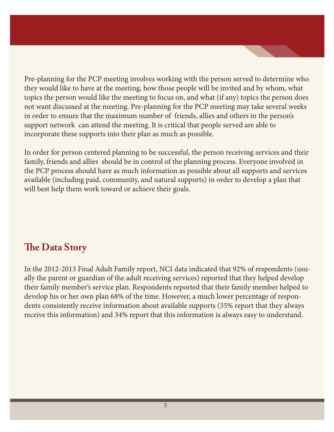Pre-planning for the PCP meeting involves working with the person served to determine who they would like to have at the meeting, how those people will be invited and by whom, what topics the person would like the meeting to focus on, and what (if any) topics the person does not want discussed at the meeting. Pre-planning for the PCP meeting may take several weeks in order to ensure that the maximum number of friends, allies and others in the person's support network can attend the meeting. It is critical that people served are able to incorporate these supports into their plan as much as possible.

In order for person centered planning to be successful, the person receiving services and their family, friends and allies should be in control of the planning process. Everyone involved in the PCP process should have as much information as possible about all supports and services available (including paid, community, and natural supports) in order to develop a plan that will best help them work toward or achieve their goals.

#### **The Data Story**

In the 2012-2013 Final Adult Family report, NCI data indicated that 92% of respondents (usually the parent or guardian of the adult receiving services) reported that they helped develop their family member's service plan. Respondents reported that their family member helped to develop his or her own plan 68% of the time. However, a much lower percentage of respondents consistently receive information about available supports (35% report that they always receive this information) and 34% report that this information is always easy to understand.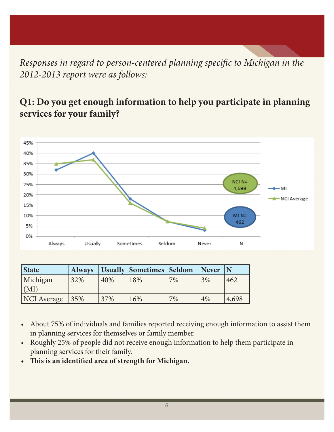*Responses in regard to person-centered planning specific to Michigan in the 2012-2013 report were as follows:*

#### **Q1: Do you get enough information to help you participate in planning services for your family?**



| <b>State</b>       | <b>Always</b> |     | Usually   Sometimes   Seldom |    | <b>Never</b> |       |
|--------------------|---------------|-----|------------------------------|----|--------------|-------|
| Michigan           | 32%           | 40% | 18%                          | 7% | 3%           | 462   |
| (MI)               |               |     |                              |    |              |       |
| <b>NCI</b> Average | 135%          | 37% | 16%                          | 7% | 4%           | 4,698 |

- About 75% of individuals and families reported receiving enough information to assist them in planning services for themselves or family member.
- • Roughly 25% of people did not receive enough information to help them participate in planning services for their family.
- **• This is an identified area of strength for Michigan.**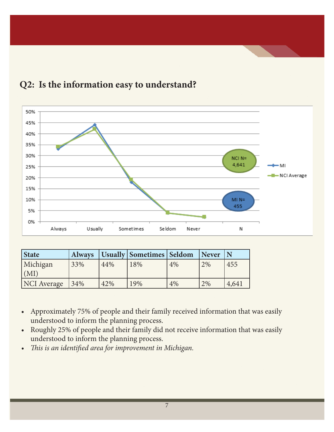

#### **Q2: Is the information easy to understand?**

| State              | <b>Always</b> |     | Usually   Sometimes   Seldom |    | <i>Never</i> | l N   |
|--------------------|---------------|-----|------------------------------|----|--------------|-------|
| Michigan           | 33%           | 44% | 18%                          | 4% | 2%           | 455   |
| (M I)              |               |     |                              |    |              |       |
| <b>NCI</b> Average | 134%          | 42% | 19%                          | 4% | 2%           | 4,641 |

- • Approximately 75% of people and their family received information that was easily understood to inform the planning process.
- Roughly 25% of people and their family did not receive information that was easily understood to inform the planning process.
- *• This is an identified area for improvement in Michigan.*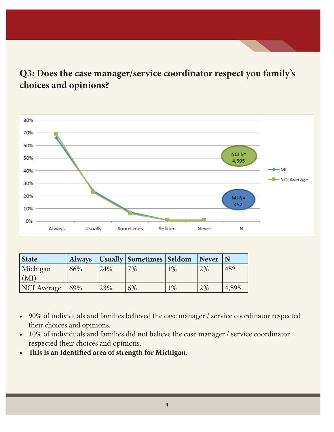#### **Q3: Does the case manager/service coordinator respect you family's choices and opinions?**



| State            |      |     | Always   Usually   Sometimes   Seldom |       | Never |       |
|------------------|------|-----|---------------------------------------|-------|-------|-------|
| Michigan         | 66%  | 24% | 7%                                    | $1\%$ | 2%    | 452   |
| $^{\prime}$ (MI) |      |     |                                       |       |       |       |
| NCI Average      | 169% | 23% | 6%                                    | $1\%$ | 2%    | 4,595 |

- 90% of individuals and families believed the case manager / service coordinator respected their choices and opinions.
- • 10% of individuals and families did not believe the case manager / service coordinator respected their choices and opinions.
- **• This is an identified area of strength for Michigan.**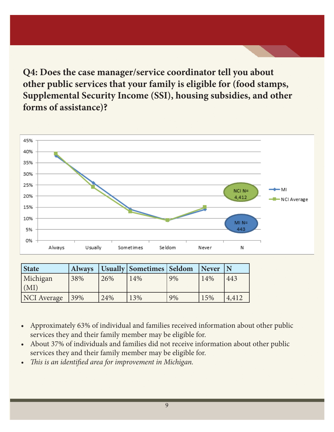**Q4: Does the case manager/service coordinator tell you about other public services that your family is eligible for (food stamps, Supplemental Security Income (SSI), housing subsidies, and other forms of assistance)?** 



| <b>State</b> |      |     | Always   Usually   Sometimes   Seldom |    | <b>Never</b> |       |
|--------------|------|-----|---------------------------------------|----|--------------|-------|
| Michigan     | 38%  | 26% | 14%                                   | 9% | 14%          | 443   |
| (MI)         |      |     |                                       |    |              |       |
| NCI Average  | 139% | 24% | 13%                                   | 9% | 15%          | 4,412 |

- Approximately 63% of individual and families received information about other public services they and their family member may be eligible for.
- About 37% of individuals and families did not receive information about other public services they and their family member may be eligible for.
- *• This is an identified area for improvement in Michigan.*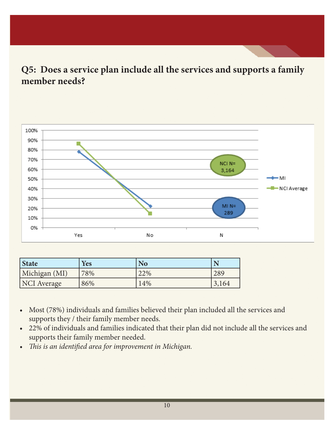**Q5: Does a service plan include all the services and supports a family member needs?**



| <b>State</b>       | <b>Yes</b> | <b>No</b> |       |
|--------------------|------------|-----------|-------|
| Michigan (MI)      | 78%        | 22%       | 289   |
| <b>NCI</b> Average | 86%        | 14%       | 3,164 |

- • Most (78%) individuals and families believed their plan included all the services and supports they / their family member needs.
- • 22% of individuals and families indicated that their plan did not include all the services and supports their family member needed.
- *• This is an identified area for improvement in Michigan.*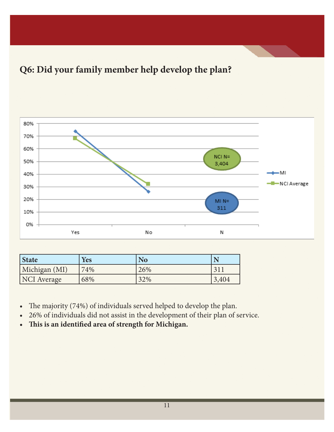# **Q6: Did your family member help develop the plan?**



| <b>State</b>  | <b>Yes</b> | <b>No</b> |       |
|---------------|------------|-----------|-------|
| Michigan (MI) | 74%        | 26%       | 21    |
| NCI Average   | 68%        | 32%       | 3,404 |

- The majority (74%) of individuals served helped to develop the plan.
- • 26% of individuals did not assist in the development of their plan of service.
- **• This is an identified area of strength for Michigan.**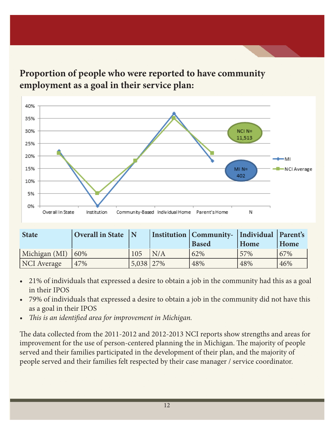

**Proportion of people who were reported to have community employment as a goal in their service plan:**

| <b>State</b>           | $\sqrt{N}$ Overall in State $\sqrt{N}$ |           |     | Institution   Community-   Individual   Parent's<br><b>Based</b> | Home | Home |
|------------------------|----------------------------------------|-----------|-----|------------------------------------------------------------------|------|------|
| Michigan (MI) $ 60\% $ |                                        | 105       | N/A | 62%                                                              | 57%  | 67%  |
| NCI Average            | 47%                                    | 5,038 27% |     | 48%                                                              | 48%  | 46%  |

- 21% of individuals that expressed a desire to obtain a job in the community had this as a goal in their IPOS
- 79% of individuals that expressed a desire to obtain a job in the community did not have this as a goal in their IPOS
- *• This is an identified area for improvement in Michigan.*

The data collected from the 2011-2012 and 2012-2013 NCI reports show strengths and areas for improvement for the use of person-centered planning the in Michigan. The majority of people served and their families participated in the development of their plan, and the majority of people served and their families felt respected by their case manager / service coordinator.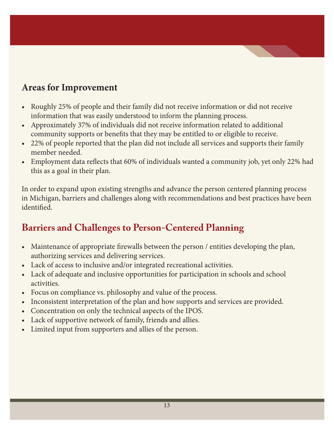#### **Areas for Improvement**

- Roughly 25% of people and their family did not receive information or did not receive information that was easily understood to inform the planning process.
- Approximately 37% of individuals did not receive information related to additional community supports or benefits that they may be entitled to or eligible to receive.
- 22% of people reported that the plan did not include all services and supports their family member needed.
- Employment data reflects that 60% of individuals wanted a community job, yet only 22% had this as a goal in their plan.

In order to expand upon existing strengths and advance the person centered planning process in Michigan, barriers and challenges along with recommendations and best practices have been identified.

#### **Barriers and Challenges to Person-Centered Planning**

- Maintenance of appropriate firewalls between the person / entities developing the plan, authorizing services and delivering services.
- Lack of access to inclusive and/or integrated recreational activities.
- Lack of adequate and inclusive opportunities for participation in schools and school activities.
- Focus on compliance vs. philosophy and value of the process.
- Inconsistent interpretation of the plan and how supports and services are provided.
- Concentration on only the technical aspects of the IPOS.
- Lack of supportive network of family, friends and allies.
- Limited input from supporters and allies of the person.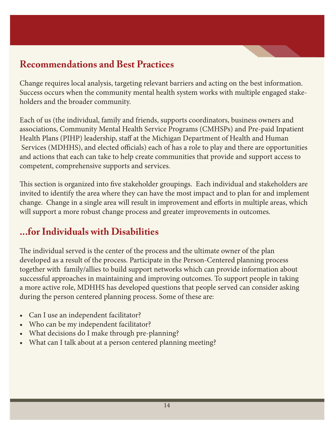#### **Recommendations and Best Practices**

Change requires local analysis, targeting relevant barriers and acting on the best information. Success occurs when the community mental health system works with multiple engaged stakeholders and the broader community.

Each of us (the individual, family and friends, supports coordinators, business owners and associations, Community Mental Health Service Programs (CMHSPs) and Pre-paid Inpatient Health Plans (PIHP) leadership, staff at the Michigan Department of Health and Human Services (MDHHS), and elected officials) each of has a role to play and there are opportunities and actions that each can take to help create communities that provide and support access to competent, comprehensive supports and services.

This section is organized into five stakeholder groupings. Each individual and stakeholders are invited to identify the area where they can have the most impact and to plan for and implement change. Change in a single area will result in improvement and efforts in multiple areas, which will support a more robust change process and greater improvements in outcomes.

#### **...for Individuals with Disabilities**

The individual served is the center of the process and the ultimate owner of the plan developed as a result of the process. Participate in the Person-Centered planning process together with family/allies to build support networks which can provide information about successful approaches in maintaining and improving outcomes. To support people in taking a more active role, MDHHS has developed questions that people served can consider asking during the person centered planning process. Some of these are:

- Can I use an independent facilitator?
- Who can be my independent facilitator?
- What decisions do I make through pre-planning?
- What can I talk about at a person centered planning meeting?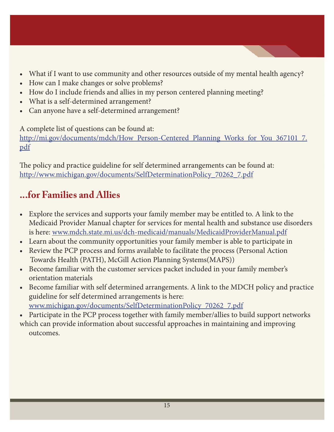- What if I want to use community and other resources outside of my mental health agency?
- How can I make changes or solve problems?
- How do I include friends and allies in my person centered planning meeting?
- What is a self-determined arrangement?
- Can anyone have a self-determined arrangement?

A complete list of questions can be found at:

http://mi.gov/documents/mdch/How\_Person-Centered\_Planning\_Works\_for\_You\_367101\_7. pdf

The policy and practice guideline for self determined arrangements can be found at: http://www.michigan.gov/documents/SelfDeterminationPolicy\_70262\_7.pdf

# **...for Families and Allies**

- Explore the services and supports your family member may be entitled to. A link to the Medicaid Provider Manual chapter for services for mental health and substance use disorders is here: www.mdch.state.mi.us/dch-medicaid/manuals/MedicaidProviderManual.pdf
- Learn about the community opportunities your family member is able to participate in
- Review the PCP process and forms available to facilitate the process (Personal Action Towards Health (PATH), McGill Action Planning Systems(MAPS))
- Become familiar with the customer services packet included in your family member's orientation materials
- • Become familiar with self determined arrangements. A link to the MDCH policy and practice guideline for self determined arrangements is here: www.michigan.gov/documents/SelfDeterminationPolicy\_70262\_7.pdf
- Participate in the PCP process together with family member/allies to build support networks which can provide information about successful approaches in maintaining and improving outcomes.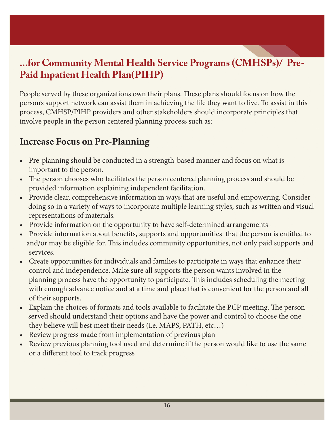#### **...for Community Mental Health Service Programs (CMHSPs)/ Pre-Paid Inpatient Health Plan(PIHP)**

People served by these organizations own their plans. These plans should focus on how the person's support network can assist them in achieving the life they want to live. To assist in this process, CMHSP/PIHP providers and other stakeholders should incorporate principles that involve people in the person centered planning process such as:

#### **Increase Focus on Pre-Planning**

- Pre-planning should be conducted in a strength-based manner and focus on what is important to the person.
- The person chooses who facilitates the person centered planning process and should be provided information explaining independent facilitation.
- Provide clear, comprehensive information in ways that are useful and empowering. Consider doing so in a variety of ways to incorporate multiple learning styles, such as written and visual representations of materials.
- Provide information on the opportunity to have self-determined arrangements
- Provide information about benefits, supports and opportunities that the person is entitled to and/or may be eligible for. This includes community opportunities, not only paid supports and services.
- Create opportunities for individuals and families to participate in ways that enhance their control and independence. Make sure all supports the person wants involved in the planning process have the opportunity to participate. This includes scheduling the meeting with enough advance notice and at a time and place that is convenient for the person and all of their supports.
- Explain the choices of formats and tools available to facilitate the PCP meeting. The person served should understand their options and have the power and control to choose the one they believe will best meet their needs (i.e. MAPS, PATH, etc…)
- Review progress made from implementation of previous plan
- Review previous planning tool used and determine if the person would like to use the same or a different tool to track progress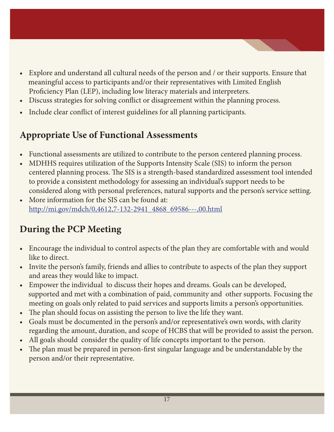- Explore and understand all cultural needs of the person and / or their supports. Ensure that meaningful access to participants and/or their representatives with Limited English Proficiency Plan (LEP), including low literacy materials and interpreters.
- Discuss strategies for solving conflict or disagreement within the planning process.
- Include clear conflict of interest guidelines for all planning participants.

# **Appropriate Use of Functional Assessments**

- Functional assessments are utilized to contribute to the person centered planning process.
- MDHHS requires utilization of the Supports Intensity Scale (SIS) to inform the person centered planning process. The SIS is a strength-based standardized assessment tool intended to provide a consistent methodology for assessing an individual's support needs to be considered along with personal preferences, natural supports and the person's service setting.
- More information for the SIS can be found at: http://mi.gov/mdch/0,4612,7-132-2941\_4868\_69586---,00.html

# **During the PCP Meeting**

- Encourage the individual to control aspects of the plan they are comfortable with and would like to direct.
- Invite the person's family, friends and allies to contribute to aspects of the plan they support and areas they would like to impact.
- Empower the individual to discuss their hopes and dreams. Goals can be developed, supported and met with a combination of paid, community and other supports. Focusing the meeting on goals only related to paid services and supports limits a person's opportunities.
- The plan should focus on assisting the person to live the life they want.
- Goals must be documented in the person's and/or representative's own words, with clarity regarding the amount, duration, and scope of HCBS that will be provided to assist the person.
- All goals should consider the quality of life concepts important to the person.
- The plan must be prepared in person-first singular language and be understandable by the person and/or their representative.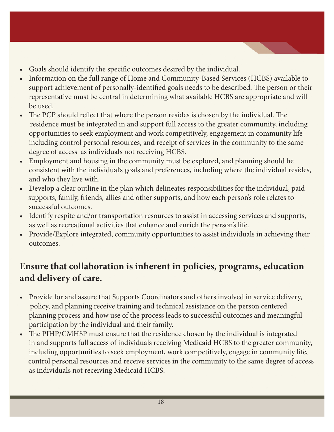- Goals should identify the specific outcomes desired by the individual.
- Information on the full range of Home and Community-Based Services (HCBS) available to support achievement of personally-identified goals needs to be described. The person or their representative must be central in determining what available HCBS are appropriate and will be used.
- The PCP should reflect that where the person resides is chosen by the individual. The residence must be integrated in and support full access to the greater community, including opportunities to seek employment and work competitively, engagement in community life including control personal resources, and receipt of services in the community to the same degree of access as individuals not receiving HCBS.
- • Employment and housing in the community must be explored, and planning should be consistent with the individual's goals and preferences, including where the individual resides, and who they live with.
- Develop a clear outline in the plan which delineates responsibilities for the individual, paid supports, family, friends, allies and other supports, and how each person's role relates to successful outcomes.
- Identify respite and/or transportation resources to assist in accessing services and supports, as well as recreational activities that enhance and enrich the person's life.
- Provide/Explore integrated, community opportunities to assist individuals in achieving their outcomes.

#### **Ensure that collaboration is inherent in policies, programs, education and delivery of care.**

- Provide for and assure that Supports Coordinators and others involved in service delivery, policy, and planning receive training and technical assistance on the person centered planning process and how use of the process leads to successful outcomes and meaningful participation by the individual and their family.
- The PIHP/CMHSP must ensure that the residence chosen by the individual is integrated in and supports full access of individuals receiving Medicaid HCBS to the greater community, including opportunities to seek employment, work competitively, engage in community life, control personal resources and receive services in the community to the same degree of access as individuals not receiving Medicaid HCBS.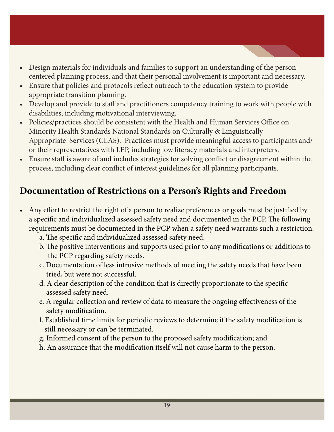- Design materials for individuals and families to support an understanding of the personcentered planning process, and that their personal involvement is important and necessary.
- Ensure that policies and protocols reflect outreach to the education system to provide appropriate transition planning.
- Develop and provide to staff and practitioners competency training to work with people with disabilities, including motivational interviewing.
- Policies/practices should be consistent with the Health and Human Services Office on Minority Health Standards National Standards on Culturally & Linguistically Appropriate Services (CLAS). Practices must provide meaningful access to participants and/ or their representatives with LEP, including low literacy materials and interpreters.
- Ensure staff is aware of and includes strategies for solving conflict or disagreement within the process, including clear conflict of interest guidelines for all planning participants.

#### **Documentation of Restrictions on a Person's Rights and Freedom**

- Any effort to restrict the right of a person to realize preferences or goals must be justified by a specific and individualized assessed safety need and documented in the PCP. The following requirements must be documented in the PCP when a safety need warrants such a restriction:
	- a. The specific and individualized assessed safety need.
	- b. The positive interventions and supports used prior to any modifications or additions to the PCP regarding safety needs.
	- c. Documentation of less intrusive methods of meeting the safety needs that have been tried, but were not successful.
	- d. A clear description of the condition that is directly proportionate to the specific assessed safety need.
	- e. A regular collection and review of data to measure the ongoing effectiveness of the safety modification.
	- f. Established time limits for periodic reviews to determine if the safety modification is still necessary or can be terminated.
	- g. Informed consent of the person to the proposed safety modification; and
	- h. An assurance that the modification itself will not cause harm to the person.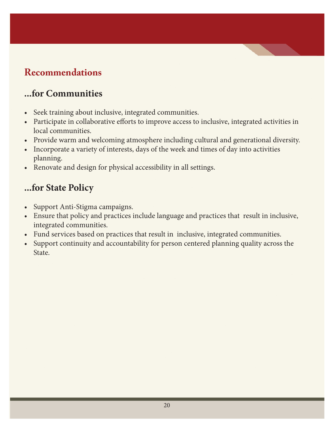# **Recommendations**

#### **...for Communities**

- Seek training about inclusive, integrated communities.
- • Participate in collaborative efforts to improve access to inclusive, integrated activities in local communities.
- Provide warm and welcoming atmosphere including cultural and generational diversity.
- Incorporate a variety of interests, days of the week and times of day into activities planning.
- Renovate and design for physical accessibility in all settings.

#### **...for State Policy**

- Support Anti-Stigma campaigns.
- Ensure that policy and practices include language and practices that result in inclusive, integrated communities.
- Fund services based on practices that result in inclusive, integrated communities.
- Support continuity and accountability for person centered planning quality across the State.